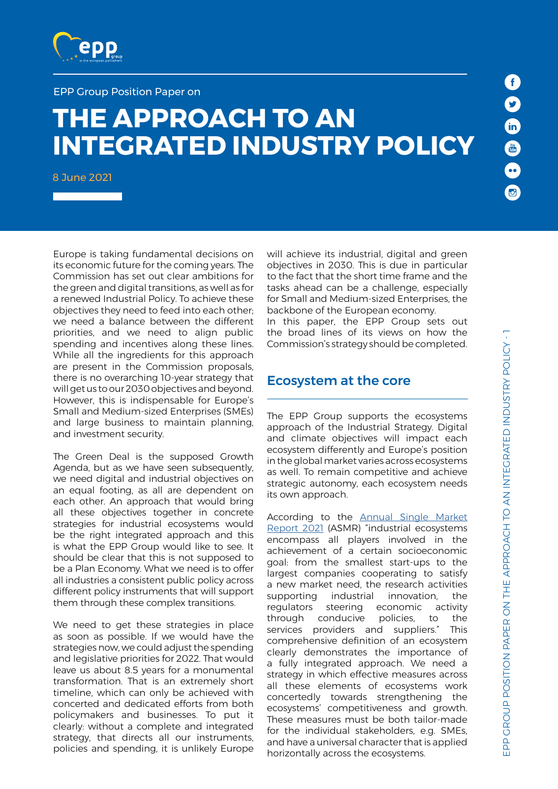

#### EPP Group Position Paper on

# **THE APPROACH TO AN INTEGRATED INDUSTRY POLICY**

8 June 2021

Europe is taking fundamental decisions on its economic future for the coming years. The Commission has set out clear ambitions for the green and digital transitions, as well as for a renewed Industrial Policy. To achieve these objectives they need to feed into each other; we need a balance between the different priorities, and we need to align public spending and incentives along these lines. While all the ingredients for this approach are present in the Commission proposals, there is no overarching 10-year strategy that will get us to our 2030 objectives and beyond. However, this is indispensable for Europe's Small and Medium-sized Enterprises (SMEs) and large business to maintain planning, and investment security.

The Green Deal is the supposed Growth Agenda, but as we have seen subsequently, we need digital and industrial objectives on an equal footing, as all are dependent on each other. An approach that would bring all these objectives together in concrete strategies for industrial ecosystems would be the right integrated approach and this is what the EPP Group would like to see. It should be clear that this is not supposed to be a Plan Economy. What we need is to offer all industries a consistent public policy across different policy instruments that will support them through these complex transitions.

We need to get these strategies in place as soon as possible. If we would have the strategies now, we could adjust the spending and legislative priorities for 2022. That would leave us about 8.5 years for a monumental transformation. That is an extremely short timeline, which can only be achieved with concerted and dedicated efforts from both policymakers and businesses. To put it clearly: without a complete and integrated strategy, that directs all our instruments, policies and spending, it is unlikely Europe

will achieve its industrial, digital and green objectives in 2030. This is due in particular to the fact that the short time frame and the tasks ahead can be a challenge, especially for Small and Medium-sized Enterprises, the backbone of the European economy.

In this paper, the EPP Group sets out the broad lines of its views on how the Commission's strategy should be completed.

### Ecosystem at the core

The EPP Group supports the ecosystems approach of the Industrial Strategy. Digital and climate objectives will impact each ecosystem differently and Europe's position in the global market varies across ecosystems as well. To remain competitive and achieve strategic autonomy, each ecosystem needs its own approach.

According to the [Annual Single Market](https://ec.europa.eu/info/sites/default/files/swd-annual-single-market-report-2021_en.pdf)  [Report 2021](https://ec.europa.eu/info/sites/default/files/swd-annual-single-market-report-2021_en.pdf) (ASMR) "industrial ecosystems encompass all players involved in the achievement of a certain socioeconomic goal: from the smallest start-ups to the largest companies cooperating to satisfy a new market need, the research activities supporting industrial innovation, the regulators steering economic activity through conducive policies, to the services providers and suppliers." This comprehensive definition of an ecosystem clearly demonstrates the importance of a fully integrated approach. We need a strategy in which effective measures across all these elements of ecosystems work concertedly towards strengthening the ecosystems' competitiveness and growth. These measures must be both tailor-made for the individual stakeholders, e.g. SMEs, and have a universal character that is applied horizontally across the ecosystems.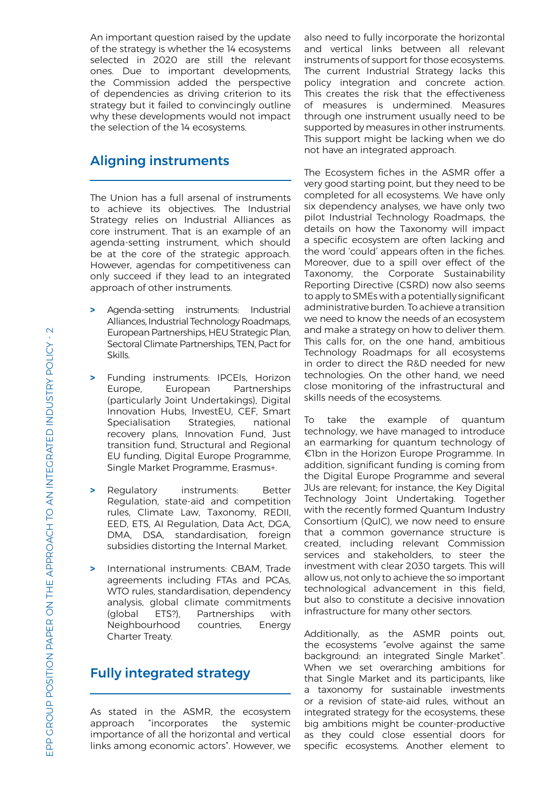An important question raised by the update of the strategy is whether the 14 ecosystems selected in 2020 are still the relevant ones. Due to important developments, the Commission added the perspective of dependencies as driving criterion to its strategy but it failed to convincingly outline why these developments would not impact the selection of the 14 ecosystems.

# Aligning instruments

The Union has a full arsenal of instruments to achieve its objectives. The Industrial Strategy relies on Industrial Alliances as core instrument. That is an example of an agenda-setting instrument, which should be at the core of the strategic approach. However, agendas for competitiveness can only succeed if they lead to an integrated approach of other instruments.

- **>** Agenda-setting instruments: Industrial Alliances, Industrial Technology Roadmaps, European Partnerships, HEU Strategic Plan, Sectoral Climate Partnerships, TEN, Pact for Skills.
- **>** Funding instruments: IPCEIs, Horizon Europe, European Partnerships (particularly Joint Undertakings), Digital Innovation Hubs, InvestEU, CEF, Smart Specialisation Strategies, national recovery plans, Innovation Fund, Just transition fund, Structural and Regional EU funding, Digital Europe Programme, Single Market Programme, Erasmus+.
- **>** Regulatory instruments: Better Regulation, state-aid and competition rules, Climate Law, Taxonomy, REDII, EED, ETS, AI Regulation, Data Act, DGA, DMA, DSA, standardisation, foreign subsidies distorting the Internal Market.
- **>** International instruments: CBAM, Trade agreements including FTAs and PCAs, WTO rules, standardisation, dependency analysis, global climate commitments (global ETS?), Partnerships with Neighbourhood countries, Energy Charter Treaty.

## Fully integrated strategy

As stated in the ASMR, the ecosystem approach "incorporates the systemic importance of all the horizontal and vertical links among economic actors". However, we also need to fully incorporate the horizontal and vertical links between all relevant instruments of support for those ecosystems. The current Industrial Strategy lacks this policy integration and concrete action. This creates the risk that the effectiveness of measures is undermined. Measures through one instrument usually need to be supported by measures in other instruments. This support might be lacking when we do not have an integrated approach.

The Ecosystem fiches in the ASMR offer a very good starting point, but they need to be completed for all ecosystems. We have only six dependency analyses, we have only two pilot Industrial Technology Roadmaps, the details on how the Taxonomy will impact a specific ecosystem are often lacking and the word 'could' appears often in the fiches. Moreover, due to a spill over effect of the Taxonomy, the Corporate Sustainability Reporting Directive (CSRD) now also seems to apply to SMEs with a potentially significant administrative burden. To achieve a transition we need to know the needs of an ecosystem and make a strategy on how to deliver them. This calls for, on the one hand, ambitious Technology Roadmaps for all ecosystems in order to direct the R&D needed for new technologies. On the other hand, we need close monitoring of the infrastructural and skills needs of the ecosystems.

To take the example of quantum technology, we have managed to introduce an earmarking for quantum technology of €1bn in the Horizon Europe Programme. In addition, significant funding is coming from the Digital Europe Programme and several JUs are relevant; for instance, the Key Digital Technology Joint Undertaking. Together with the recently formed Quantum Industry Consortium (QuIC), we now need to ensure that a common governance structure is created, including relevant Commission services and stakeholders, to steer the investment with clear 2030 targets. This will allow us, not only to achieve the so important technological advancement in this field, but also to constitute a decisive innovation infrastructure for many other sectors.

Additionally, as the ASMR points out, the ecosystems "evolve against the same background: an integrated Single Market". When we set overarching ambitions for that Single Market and its participants, like a taxonomy for sustainable investments or a revision of state-aid rules, without an integrated strategy for the ecosystems, these big ambitions might be counter-productive as they could close essential doors for specific ecosystems. Another element to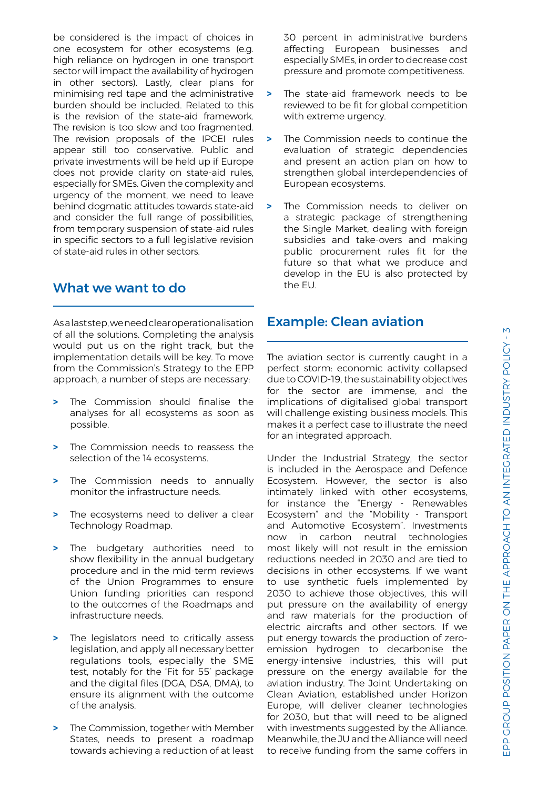be considered is the impact of choices in one ecosystem for other ecosystems (e.g. high reliance on hydrogen in one transport sector will impact the availability of hydrogen in other sectors). Lastly, clear plans for minimising red tape and the administrative burden should be included. Related to this is the revision of the state-aid framework. The revision is too slow and too fragmented. The revision proposals of the IPCEI rules appear still too conservative. Public and private investments will be held up if Europe does not provide clarity on state-aid rules, especially for SMEs. Given the complexity and urgency of the moment, we need to leave behind dogmatic attitudes towards state-aid and consider the full range of possibilities, from temporary suspension of state-aid rules in specific sectors to a full legislative revision of state-aid rules in other sectors.

## What we want to do

As a last step, we need clear operationalisation of all the solutions. Completing the analysis would put us on the right track, but the implementation details will be key. To move from the Commission's Strategy to the EPP approach, a number of steps are necessary:

- **>** The Commission should finalise the analyses for all ecosystems as soon as possible.
- **>** The Commission needs to reassess the selection of the 14 ecosystems.
- **>** The Commission needs to annually monitor the infrastructure needs.
- **>** The ecosystems need to deliver a clear Technology Roadmap.
- **>** The budgetary authorities need to show flexibility in the annual budgetary procedure and in the mid-term reviews of the Union Programmes to ensure Union funding priorities can respond to the outcomes of the Roadmaps and infrastructure needs.
- **>** The legislators need to critically assess legislation, and apply all necessary better regulations tools, especially the SME test, notably for the 'Fit for 55' package and the digital files (DGA, DSA, DMA), to ensure its alignment with the outcome of the analysis.
- **>** The Commission, together with Member States, needs to present a roadmap towards achieving a reduction of at least

30 percent in administrative burdens affecting European businesses and especially SMEs, in order to decrease cost pressure and promote competitiveness.

- **>** The state-aid framework needs to be reviewed to be fit for global competition with extreme urgency.
- **>** The Commission needs to continue the evaluation of strategic dependencies and present an action plan on how to strengthen global interdependencies of European ecosystems.
- **>** The Commission needs to deliver on a strategic package of strengthening the Single Market, dealing with foreign subsidies and take-overs and making public procurement rules fit for the future so that what we produce and develop in the EU is also protected by the EU.

## Example: Clean aviation

The aviation sector is currently caught in a perfect storm: economic activity collapsed due to COVID-19, the sustainability objectives for the sector are immense, and the implications of digitalised global transport will challenge existing business models. This makes it a perfect case to illustrate the need for an integrated approach.

Under the Industrial Strategy, the sector is included in the Aerospace and Defence Ecosystem. However, the sector is also intimately linked with other ecosystems, for instance the "Energy - Renewables Ecosystem" and the "Mobility - Transport and Automotive Ecosystem". Investments now in carbon neutral technologies most likely will not result in the emission reductions needed in 2030 and are tied to decisions in other ecosystems. If we want to use synthetic fuels implemented by 2030 to achieve those objectives, this will put pressure on the availability of energy and raw materials for the production of electric aircrafts and other sectors. If we put energy towards the production of zeroemission hydrogen to decarbonise the energy-intensive industries, this will put pressure on the energy available for the aviation industry. The Joint Undertaking on Clean Aviation, established under Horizon Europe, will deliver cleaner technologies for 2030, but that will need to be aligned with investments suggested by the Alliance. Meanwhile, the JU and the Alliance will need to receive funding from the same coffers in